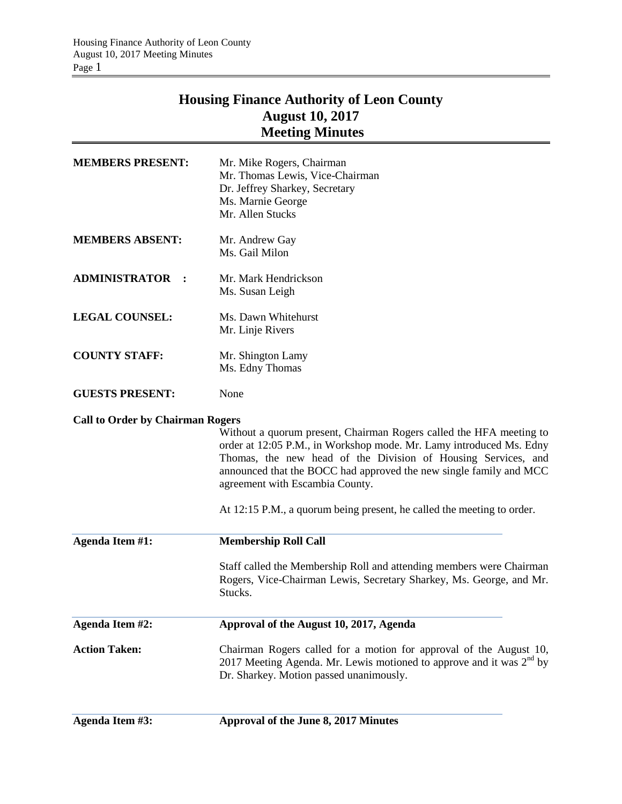## **Housing Finance Authority of Leon County August 10, 2017 Meeting Minutes**

| <b>MEMBERS PRESENT:</b>                 | Mr. Mike Rogers, Chairman<br>Mr. Thomas Lewis, Vice-Chairman<br>Dr. Jeffrey Sharkey, Secretary<br>Ms. Marnie George<br>Mr. Allen Stucks                                                                                                                                                                                                                                                        |
|-----------------------------------------|------------------------------------------------------------------------------------------------------------------------------------------------------------------------------------------------------------------------------------------------------------------------------------------------------------------------------------------------------------------------------------------------|
| <b>MEMBERS ABSENT:</b>                  | Mr. Andrew Gay<br>Ms. Gail Milon                                                                                                                                                                                                                                                                                                                                                               |
| <b>ADMINISTRATOR</b>                    | Mr. Mark Hendrickson<br>Ms. Susan Leigh                                                                                                                                                                                                                                                                                                                                                        |
| <b>LEGAL COUNSEL:</b>                   | Ms. Dawn Whitehurst<br>Mr. Linje Rivers                                                                                                                                                                                                                                                                                                                                                        |
| <b>COUNTY STAFF:</b>                    | Mr. Shington Lamy<br>Ms. Edny Thomas                                                                                                                                                                                                                                                                                                                                                           |
| <b>GUESTS PRESENT:</b>                  | None                                                                                                                                                                                                                                                                                                                                                                                           |
| <b>Call to Order by Chairman Rogers</b> | Without a quorum present, Chairman Rogers called the HFA meeting to<br>order at 12:05 P.M., in Workshop mode. Mr. Lamy introduced Ms. Edny<br>Thomas, the new head of the Division of Housing Services, and<br>announced that the BOCC had approved the new single family and MCC<br>agreement with Escambia County.<br>At 12:15 P.M., a quorum being present, he called the meeting to order. |
| Agenda Item #1:                         | <b>Membership Roll Call</b>                                                                                                                                                                                                                                                                                                                                                                    |
|                                         | Staff called the Membership Roll and attending members were Chairman<br>Rogers, Vice-Chairman Lewis, Secretary Sharkey, Ms. George, and Mr.<br>Stucks.                                                                                                                                                                                                                                         |
| Agenda Item #2:                         | Approval of the August 10, 2017, Agenda                                                                                                                                                                                                                                                                                                                                                        |
| <b>Action Taken:</b>                    | Chairman Rogers called for a motion for approval of the August 10,<br>2017 Meeting Agenda. Mr. Lewis motioned to approve and it was $2^{nd}$ by<br>Dr. Sharkey. Motion passed unanimously.                                                                                                                                                                                                     |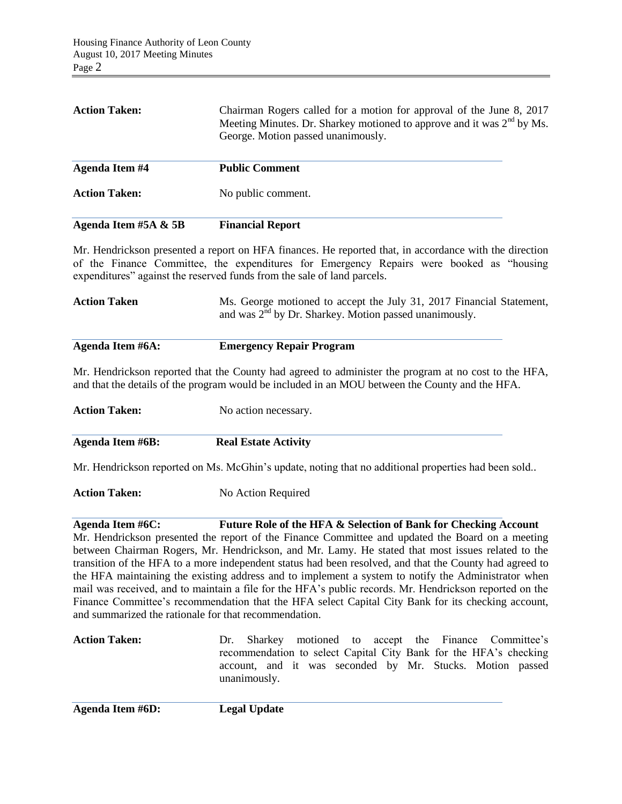| Agenda Item #5A & 5B | <b>Financial Report</b>                                                                                                                                                                |
|----------------------|----------------------------------------------------------------------------------------------------------------------------------------------------------------------------------------|
| <b>Action Taken:</b> | No public comment.                                                                                                                                                                     |
| Agenda Item #4       | <b>Public Comment</b>                                                                                                                                                                  |
| <b>Action Taken:</b> | Chairman Rogers called for a motion for approval of the June 8, 2017<br>Meeting Minutes. Dr. Sharkey motioned to approve and it was $2nd$ by Ms.<br>George. Motion passed unanimously. |

Mr. Hendrickson presented a report on HFA finances. He reported that, in accordance with the direction of the Finance Committee, the expenditures for Emergency Repairs were booked as "housing expenditures" against the reserved funds from the sale of land parcels.

| <b>Action Taken</b> | Ms. George motioned to accept the July 31, 2017 Financial Statement,<br>and was $2nd$ by Dr. Sharkey. Motion passed unanimously. |
|---------------------|----------------------------------------------------------------------------------------------------------------------------------|
| Agenda Item #6A:    | <b>Emergency Repair Program</b>                                                                                                  |
|                     | Mr. Hendrickson reported that the County had agreed to administer the program at no cost to the HFA                              |

Mr. Hendrickson reported that the County had agreed to administer the program at no cost to the HFA, and that the details of the program would be included in an MOU between the County and the HFA.

| <b>Action Taken:</b> | No action necessary.        |
|----------------------|-----------------------------|
| Agenda Item #6B:     | <b>Real Estate Activity</b> |

Mr. Hendrickson reported on Ms. McGhin's update, noting that no additional properties had been sold..

**Action Taken:** No Action Required

**Agenda Item #6C: Future Role of the HFA & Selection of Bank for Checking Account** Mr. Hendrickson presented the report of the Finance Committee and updated the Board on a meeting between Chairman Rogers, Mr. Hendrickson, and Mr. Lamy. He stated that most issues related to the transition of the HFA to a more independent status had been resolved, and that the County had agreed to the HFA maintaining the existing address and to implement a system to notify the Administrator when mail was received, and to maintain a file for the HFA's public records. Mr. Hendrickson reported on the Finance Committee's recommendation that the HFA select Capital City Bank for its checking account, and summarized the rationale for that recommendation.

**Action Taken:** Dr. Sharkey motioned to accept the Finance Committee's recommendation to select Capital City Bank for the HFA's checking account, and it was seconded by Mr. Stucks. Motion passed unanimously.

**Agenda Item #6D: Legal Update**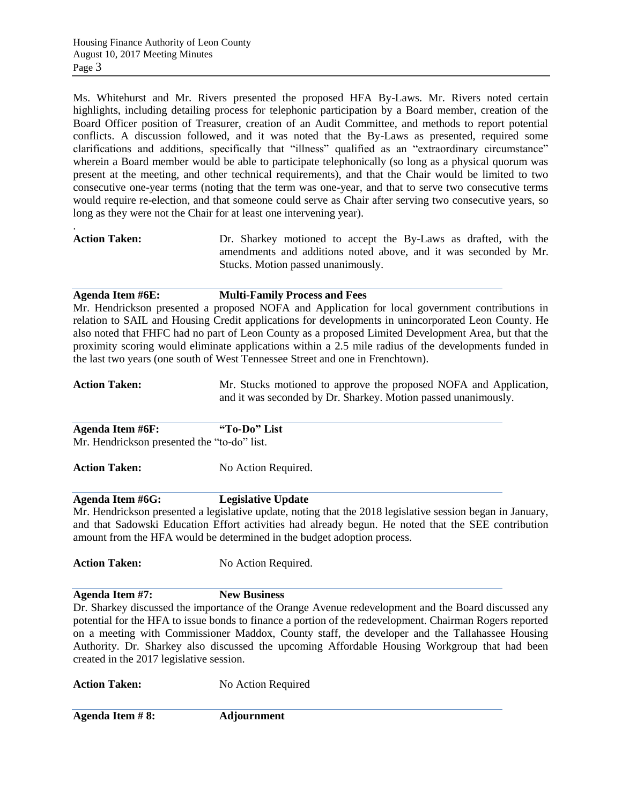Ms. Whitehurst and Mr. Rivers presented the proposed HFA By-Laws. Mr. Rivers noted certain highlights, including detailing process for telephonic participation by a Board member, creation of the Board Officer position of Treasurer, creation of an Audit Committee, and methods to report potential conflicts. A discussion followed, and it was noted that the By-Laws as presented, required some clarifications and additions, specifically that "illness" qualified as an "extraordinary circumstance" wherein a Board member would be able to participate telephonically (so long as a physical quorum was present at the meeting, and other technical requirements), and that the Chair would be limited to two consecutive one-year terms (noting that the term was one-year, and that to serve two consecutive terms would require re-election, and that someone could serve as Chair after serving two consecutive years, so long as they were not the Chair for at least one intervening year).

. **Action Taken:** Dr. Sharkey motioned to accept the By-Laws as drafted, with the amendments and additions noted above, and it was seconded by Mr. Stucks. Motion passed unanimously.

## **Agenda Item #6E: Multi-Family Process and Fees**

Mr. Hendrickson presented a proposed NOFA and Application for local government contributions in relation to SAIL and Housing Credit applications for developments in unincorporated Leon County. He also noted that FHFC had no part of Leon County as a proposed Limited Development Area, but that the proximity scoring would eliminate applications within a 2.5 mile radius of the developments funded in the last two years (one south of West Tennessee Street and one in Frenchtown).

- Action Taken: Mr. Stucks motioned to approve the proposed NOFA and Application, and it was seconded by Dr. Sharkey. Motion passed unanimously.
- **Agenda Item #6F: "To-Do" List** Mr. Hendrickson presented the "to-do" list.

Action Taken: No Action Required.

## **Agenda Item #6G: Legislative Update**

Mr. Hendrickson presented a legislative update, noting that the 2018 legislative session began in January, and that Sadowski Education Effort activities had already begun. He noted that the SEE contribution amount from the HFA would be determined in the budget adoption process.

Action Taken: No Action Required.

**Agenda Item #7: New Business**

Dr. Sharkey discussed the importance of the Orange Avenue redevelopment and the Board discussed any potential for the HFA to issue bonds to finance a portion of the redevelopment. Chairman Rogers reported on a meeting with Commissioner Maddox, County staff, the developer and the Tallahassee Housing Authority. Dr. Sharkey also discussed the upcoming Affordable Housing Workgroup that had been created in the 2017 legislative session.

Action Taken: No Action Required

**Agenda Item # 8: Adjournment**